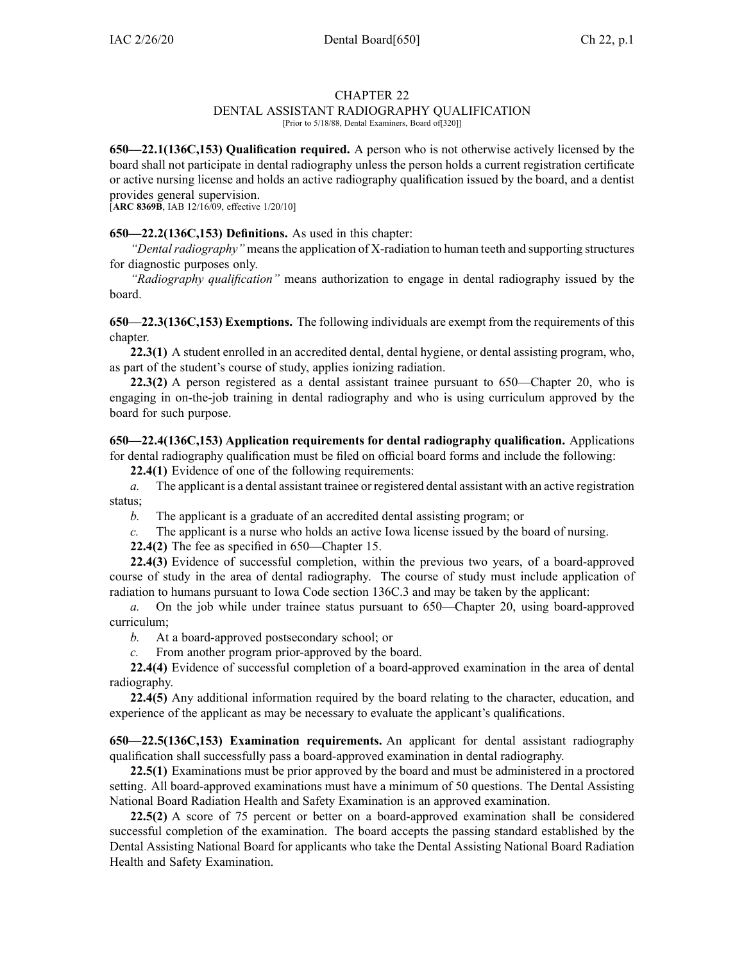### CHAPTER 22

## DENTAL ASSISTANT RADIOGRAPHY QUALIFICATION

[Prior to 5/18/88, Dental Examiners, Board of [320]]

**650—22.1(136C,153) Qualification required.** A person who is not otherwise actively licensed by the board shall not participate in dental radiography unless the person holds <sup>a</sup> current registration certificate or active nursing license and holds an active radiography qualification issued by the board, and <sup>a</sup> dentist provides general supervision.

[**ARC [8369B](https://www.legis.iowa.gov/docs/aco/arc/8369B.pdf)**, IAB 12/16/09, effective 1/20/10]

### **650—22.2(136C,153) Definitions.** As used in this chapter:

*"Dental radiography"* means the application of X-radiation to human teeth and supporting structures for diagnostic purposes only.

*"Radiography qualification"* means authorization to engage in dental radiography issued by the board.

**650—22.3(136C,153) Exemptions.** The following individuals are exemp<sup>t</sup> from the requirements of this chapter.

**22.3(1)** A student enrolled in an accredited dental, dental hygiene, or dental assisting program, who, as par<sup>t</sup> of the student's course of study, applies ionizing radiation.

**22.3(2)** A person registered as <sup>a</sup> dental assistant trainee pursuan<sup>t</sup> to [650—Chapter](https://www.legis.iowa.gov/docs/iac/chapter/650.20.pdf) 20, who is engaging in on-the-job training in dental radiography and who is using curriculum approved by the board for such purpose.

# **650—22.4(136C,153) Application requirements for dental radiography qualification.** Applications

for dental radiography qualification must be filed on official board forms and include the following:

**22.4(1)** Evidence of one of the following requirements:

*a.* The applicant is <sup>a</sup> dental assistant trainee or registered dental assistant with an active registration status;

*b.* The applicant is <sup>a</sup> graduate of an accredited dental assisting program; or

*c.* The applicant is <sup>a</sup> nurse who holds an active Iowa license issued by the board of nursing.

**22.4(2)** The fee as specified in [650—Chapter](https://www.legis.iowa.gov/docs/iac/chapter/650.15.pdf) 15.

**22.4(3)** Evidence of successful completion, within the previous two years, of <sup>a</sup> board-approved course of study in the area of dental radiography. The course of study must include application of radiation to humans pursuan<sup>t</sup> to Iowa Code section [136C.3](https://www.legis.iowa.gov/docs/ico/section/136C.3.pdf) and may be taken by the applicant:

*a.* On the job while under trainee status pursuan<sup>t</sup> to [650—Chapter](https://www.legis.iowa.gov/docs/iac/chapter/650.20.pdf) 20, using board-approved curriculum;

- *b.* At <sup>a</sup> board-approved postsecondary school; or
- *c.* From another program prior-approved by the board.

**22.4(4)** Evidence of successful completion of <sup>a</sup> board-approved examination in the area of dental radiography.

**22.4(5)** Any additional information required by the board relating to the character, education, and experience of the applicant as may be necessary to evaluate the applicant's qualifications.

**650—22.5(136C,153) Examination requirements.** An applicant for dental assistant radiography qualification shall successfully pass <sup>a</sup> board-approved examination in dental radiography.

**22.5(1)** Examinations must be prior approved by the board and must be administered in <sup>a</sup> proctored setting. All board-approved examinations must have <sup>a</sup> minimum of 50 questions. The Dental Assisting National Board Radiation Health and Safety Examination is an approved examination.

**22.5(2)** A score of 75 percen<sup>t</sup> or better on <sup>a</sup> board-approved examination shall be considered successful completion of the examination. The board accepts the passing standard established by the Dental Assisting National Board for applicants who take the Dental Assisting National Board Radiation Health and Safety Examination.